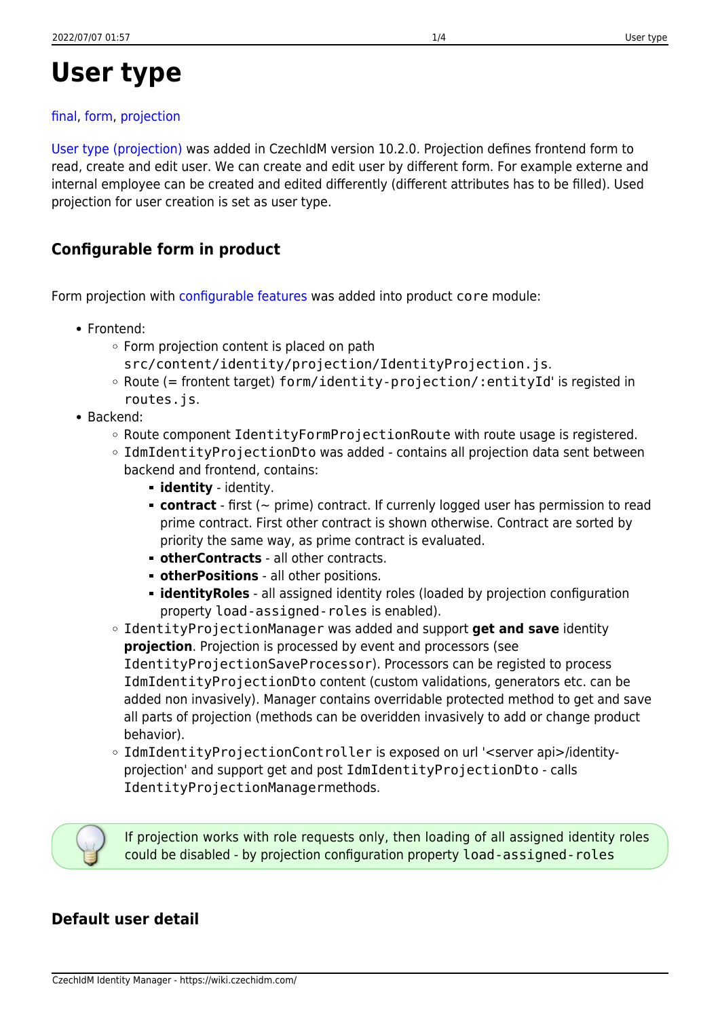# **User type**

### [final,](https://wiki.czechidm.com/tag/final?do=showtag&tag=final) [form](https://wiki.czechidm.com/tag/form?do=showtag&tag=form), [projection](https://wiki.czechidm.com/tag/projection?do=showtag&tag=projection)

[User type \(projection\)](https://wiki.czechidm.com/devel/documentation/identities/adm/user-type) was added in CzechIdM version 10.2.0. Projection defines frontend form to read, create and edit user. We can create and edit user by different form. For example externe and internal employee can be created and edited differently (different attributes has to be filled). Used projection for user creation is set as user type.

# **Configurable form in product**

Form projection with [configurable features](https://wiki.czechidm.com/devel/documentation/identities/adm/user-type#user-type) was added into product core module:

- Frontend:
	- $\circ$  Form projection content is placed on path
		- src/content/identity/projection/IdentityProjection.js.
	- $\circ$  Route (= frontent target) form/identity-projection/:entityId' is registed in routes.js.
- Backend:
	- Route component IdentityFormProjectionRoute with route usage is registered.
	- $\circ$  IdmIdentityProjectionDto was added contains all projection data sent between backend and frontend, contains:
		- **identity** identity.
		- **contract** first (~ prime) contract. If currenly logged user has permission to read prime contract. First other contract is shown otherwise. Contract are sorted by priority the same way, as prime contract is evaluated.
		- **otherContracts** all other contracts.
		- **otherPositions** all other positions.
		- **identityRoles** all assigned identity roles (loaded by projection configuration property load-assigned-roles is enabled).
	- IdentityProjectionManager was added and support **get and save** identity **projection**. Projection is processed by event and processors (see IdentityProjectionSaveProcessor). Processors can be registed to process IdmIdentityProjectionDto content (custom validations, generators etc. can be added non invasively). Manager contains overridable protected method to get and save all parts of projection (methods can be overidden invasively to add or change product behavior).
	- IdmIdentityProjectionController is exposed on url '<server api>/identityprojection' and support get and post IdmIdentityProjectionDto - calls IdentityProjectionManagermethods.



If projection works with role requests only, then loading of all assigned identity roles could be disabled - by projection configuration property load-assigned-roles

## **Default user detail**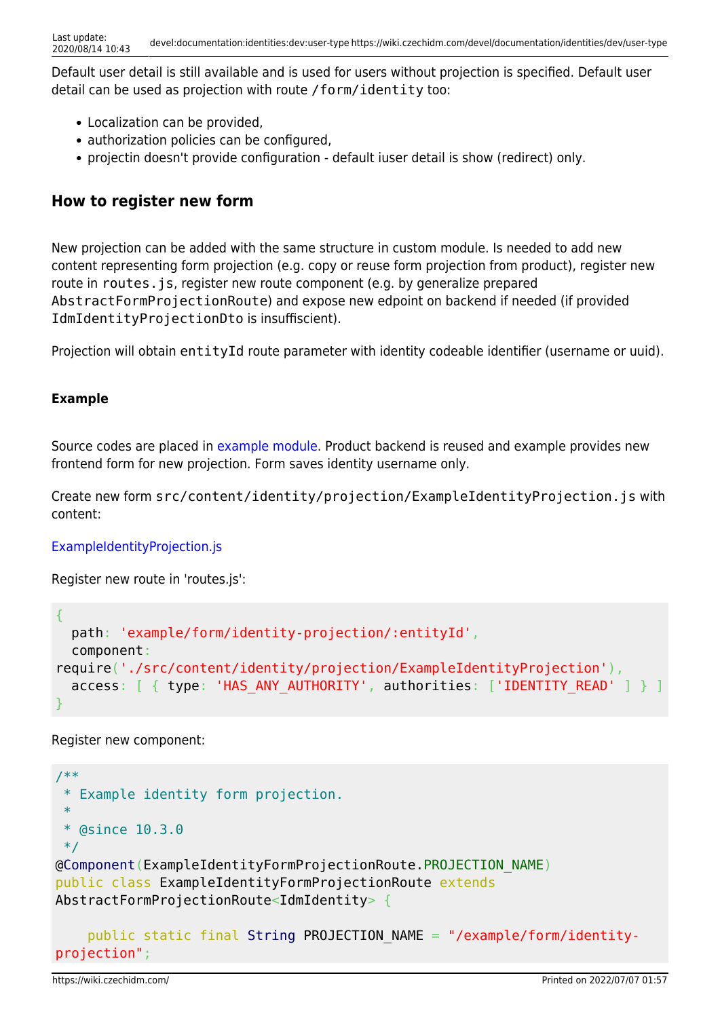Default user detail is still available and is used for users without projection is specified. Default user detail can be used as projection with route /form/identity too:

- Localization can be provided,
- authorization policies can be configured,
- projectin doesn't provide configuration default iuser detail is show (redirect) only.

### **How to register new form**

New projection can be added with the same structure in custom module. Is needed to add new content representing form projection (e.g. copy or reuse form projection from product), register new route in routes. js, register new route component (e.g. by generalize prepared AbstractFormProjectionRoute) and expose new edpoint on backend if needed (if provided IdmIdentityProjectionDto is insuffiscient).

Projection will obtain entityId route parameter with identity codeable identifier (username or uuid).

#### **Example**

Source codes are placed in [example module.](https://github.com/bcvsolutions/CzechIdMng/tree/develop/Realization/frontend/czechidm-example) Product backend is reused and example provides new frontend form for new projection. Form saves identity username only.

Create new form src/content/identity/projection/ExampleIdentityProjection.js with content:

#### [ExampleIdentityProjection.js](https://github.com/bcvsolutions/CzechIdMng/blob/develop/Realization/frontend/czechidm-example/src/content/identity/projection/ExampleIdentityProjection.js)

Register new route in 'routes.js':

```
{
   path: 'example/form/identity-projection/:entityId',
   component:
require('./src/content/identity/projection/ExampleIdentityProjection'),
  access: [ { type: 'HAS ANY AUTHORITY', authorities: ['IDENTITY READ' ] }
}
```
Register new component:

```
/**
  * Example identity form projection.
 *
 * @since 10.3.0
 */
@Component(ExampleIdentityFormProjectionRoute.PROJECTION_NAME)
public class ExampleIdentityFormProjectionRoute extends
AbstractFormProjectionRoute<IdmIdentity> {
     public static final String PROJECTION_NAME = "/example/form/identity-
```

```
projection";
```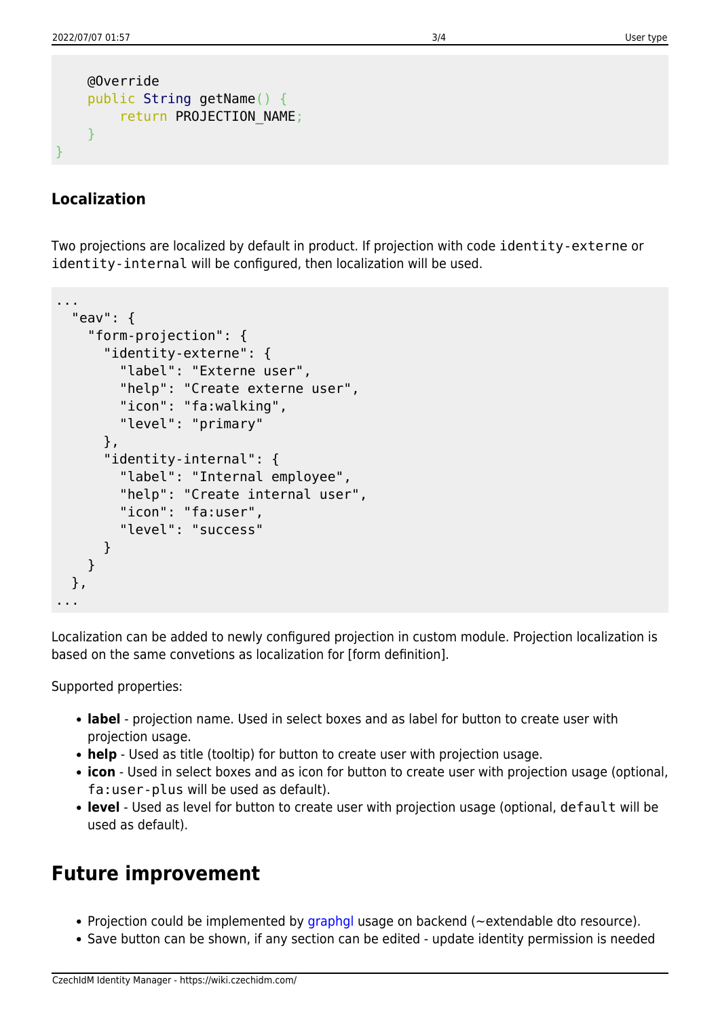```
 @Override
     public String getName() {
        return PROJECTION NAME;
     }
}
```
### **Localization**

Two projections are localized by default in product. If projection with code identity-externe or identity-internal will be configured, then localization will be used.

```
...
   "eav": {
     "form-projection": {
       "identity-externe": {
         "label": "Externe user",
         "help": "Create externe user",
         "icon": "fa:walking",
         "level": "primary"
       },
       "identity-internal": {
         "label": "Internal employee",
         "help": "Create internal user",
         "icon": "fa:user",
         "level": "success"
       }
     }
   },
...
```
Localization can be added to newly configured projection in custom module. Projection localization is based on the same convetions as localization for [form definition].

Supported properties:

- **label** projection name. Used in select boxes and as label for button to create user with projection usage.
- **help** Used as title (tooltip) for button to create user with projection usage.
- **icon** Used in select boxes and as icon for button to create user with projection usage (optional, fa:user-plus will be used as default).
- **level** Used as level for button to create user with projection usage (optional, default will be used as default).

# **Future improvement**

- Projection could be implemented by [graphgl](https://github.com/bcvsolutions/CzechIdMng/tree/graphql) usage on backend ( $\sim$ extendable dto resource).
- Save button can be shown, if any section can be edited update identity permission is needed